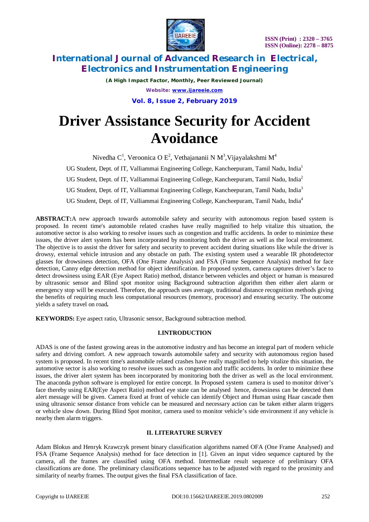

*(A High Impact Factor, Monthly, Peer Reviewed Journal) Website: [www.ijareeie.com](http://www.ijareeie.com)* **Vol. 8, Issue 2, February 2019**

# **Driver Assistance Security for Accident Avoidance**

Nivedha C<sup>1</sup>, Veroonica O E<sup>2</sup>, Vethajananii N M<sup>3</sup>,Vijayalakshmi M<sup>4</sup>

UG Student, Dept. of IT, Valliammai Engineering College, Kancheepuram, Tamil Nadu, India<sup>1</sup>

UG Student, Dept. of IT, Valliammai Engineering College, Kancheepuram, Tamil Nadu, India<sup>2</sup>

UG Student, Dept. of IT, Valliammai Engineering College, Kancheepuram, Tamil Nadu, India<sup>3</sup>

UG Student, Dept. of IT, Valliammai Engineering College, Kancheepuram, Tamil Nadu, India<sup>4</sup>

**ABSTRACT:**A new approach towards automobile safety and security with autonomous region based system is proposed. In recent time's automobile related crashes have really magnified to help vitalize this situation, the automotive sector is also working to resolve issues such as congestion and traffic accidents. In order to minimize these issues, the driver alert system has been incorporated by monitoring both the driver as well as the local environment. The objective is to assist the driver for safety and security to prevent accident during situations like while the driver is drowsy, external vehicle intrusion and any obstacle on path. The existing system used a wearable IR photodetector glasses for drowsiness detection, OFA (One Frame Analysis) and FSA (Frame Sequence Analysis) method for face detection, Canny edge detection method for object identification. In proposed system, camera captures driver's face to detect drowsiness using EAR (Eye Aspect Ratio) method, distance between vehicles and object or human is measured by ultrasonic sensor and Blind spot monitor using Background subtraction algorithm then either alert alarm or emergency stop will be executed. Therefore, the approach uses average, traditional distance recognition methods giving the benefits of requiring much less computational resources (memory, processor) and ensuring security. The outcome yields a safety travel on road*.*

**KEYWORDS:** Eye aspect ratio, Ultrasonic sensor, Background subtraction method.

#### **I.INTRODUCTION**

ADAS is one of the fastest growing areas in the automotive industry and has become an integral part of modern vehicle safety and driving comfort. A new approach towards automobile safety and security with autonomous region based system is proposed. In recent time's automobile related crashes have really magnified to help vitalize this situation, the automotive sector is also working to resolve issues such as congestion and traffic accidents. In order to minimize these issues, the driver alert system has been incorporated by monitoring both the driver as well as the local environment. The anaconda python software is employed for entire concept. In Proposed system camera is used to monitor driver's face thereby using EAR(Eye Aspect Ratio) method eye state can be analysed hence, drowsiness can be detected then alert message will be given. Camera fixed at front of vehicle can identify Object and Human using Haar cascade then using ultrasonic sensor distance from vehicle can be measured and necessary action can be taken either alarm triggers or vehicle slow down. During Blind Spot monitor, camera used to monitor vehicle's side environment if any vehicle is nearby then alarm triggers.

### **II. LITERATURE SURVEY**

Adam Blokus and Henryk Krawczyk present binary classification algorithms named OFA (One Frame Analysed) and FSA (Frame Sequence Analysis) method for face detection in [1]. Given an input video sequence captured by the camera, all the frames are classified using OFA method. Intermediate result sequence of preliminary OFA classifications are done. The preliminary classifications sequence has to be adjusted with regard to the proximity and similarity of nearby frames. The output gives the final FSA classification of face.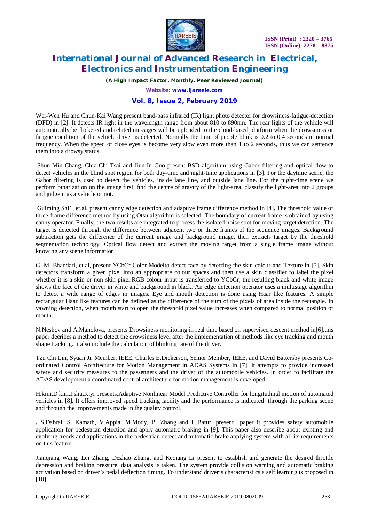

*(A High Impact Factor, Monthly, Peer Reviewed Journal)*

*Website: [www.ijareeie.com](http://www.ijareeie.com)*

#### **Vol. 8, Issue 2, February 2019**

Wei-Wen Hu and Chun-Kai Wang present band-pass infrared (IR) light photo detector for drowsiness-fatigue-detection (DFD) in [2]. It detects IR light in the wavelength range from about 810 to 890nm. The rear lights of the vehicle will automatically be flickered and related messages will be uploaded to the cloud-based platform when the drowsiness or fatigue condition of the vehicle driver is detected. Normally the time of people blink is 0.2 to 0.4 seconds in normal frequency. When the speed of close eyes is become very slow even more than 1 to 2 seconds, thus we can sentence them into a drowsy status.

Shun-Min Chang, Chia-Chi Tsai and Jiun-In Guo present BSD algorithm using Gabor filtering and optical flow to detect vehicles in the blind spot region for both day-time and night-time applications in [3]. For the daytime scene, the Gabor filtering is used to detect the vehicles, inside lane line, and outside lane line. For the night-time scene we perform binarization on the image first, find the centre of gravity of the light-area, classify the light-area into 2 groups and judge it as a vehicle or not.

Guiming Shi1, et.al, present canny edge detection and adaptive frame difference method in [4]. The threshold value of three-frame difference method by using Otsu algorithm is selected. The boundary of current frame is obtained by using canny operator. Finally, the two results are integrated to process the isolated noise spot for moving target detection. The target is detected through the difference between adjacent two or three frames of the sequence images. Background subtraction gets the difference of the current image and background image, then extracts target by the threshold segmentation technology. Optical flow detect and extract the moving target from a single frame image without knowing any scene information.

G. M. Bhandari, et.al, present YCbCr Color Modelto detect face by detecting the skin colour and Texture in [5]. Skin detectors transform a given pixel into an appropriate colour spaces and then use a skin classifier to label the pixel whether it is a skin or non-skin pixel.RGB colour input is transferred to YCbCr, the resulting black and white image shows the face of the driver in white and background in black. An edge detection operator uses a multistage algorithm to detect a wide range of edges in images. Eye and mouth detection is done using Haar like features. A simple rectangular Haar like features can be defined as the difference of the sum of the pixels of area inside the rectangle. In yawning detection, when mouth start to open the threshold pixel value increases when compared to normal position of mouth.

N.Neshov and A.Manolova, presents Drowsiness monitoring in real time based on supervised descent method in[6].this paper decribes a method to detect the drowsiness level after the implementation of methods like eye tracking and mouth shape tracking. It also include the calculation of blinking rate of the driver.

Tzu Chi Lin, Syuan Ji, Member, IEEE, Charles E.Dickerson, Senior Member, IEEE, and David Battersby presents Coordinated Control Architecture for Motion Management in ADAS Systems in [7]. It attempts to provide increased safety and security measures to the passengers and the driver of the automobile vehicles. In order to facilitate the ADAS development a coordinated control architecture for motion management is developed.

H.kim,D.kim,I.shu,K.yi presents,Adaptive Nonlinear Model Predictive Controller for longitudinal motion of automated vehicles in [8]. It offers improved speed tracking facility and the performance is indicated through the parking scene and through the improvements made in the quality control.

**.** S.Dabral, S. Kamath, V.Appia, M.Mody, B. Zhang and U.Batur, present paper it provides safety automobile application for pedestrian detection and apply automatic braking in [9]. This paper also describe about existing and evolving trends and applications in the pedestrian detect and automatic brake applying system with all its requirements on this feature.

Jianqiang Wang, Lei Zhang, Dezhao Zhang, and Keqiang Li present to establish and generate the desired throttle depression and braking pressure, data analysis is taken. The system provide collision warning and automatic braking activation based on driver's pedal deflection timing. To understand driver's characteristics a self learning is proposed in [10].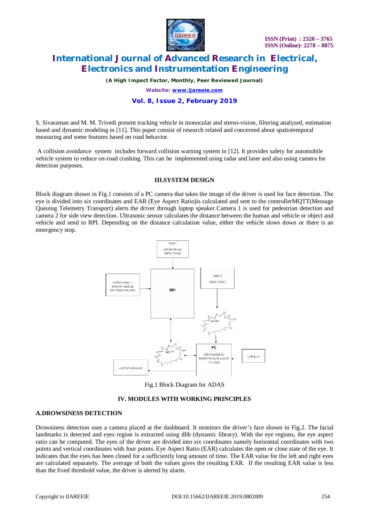

*(A High Impact Factor, Monthly, Peer Reviewed Journal)*

*Website: [www.ijareeie.com](http://www.ijareeie.com)*

#### **Vol. 8, Issue 2, February 2019**

S. Sivaraman and M. M. Trivedi present tracking vehicle in monocular and stereo-vision, filtering analyzed, estimation based and dynamic modeling in [11]. This paper consist of research related and concerned about spatiotemporal measuring and some features based on road behavior.

A collision avoidance system includes forward collision warning system in [12]. It provides safety for automobile vehicle system to reduce on-road crashing. This can be implemented using radar and laser and also using camera for detection purposes.

#### **III.SYSTEM DESIGN**

Block diagram shown in Fig.1 consists of a PC camera that takes the image of the driver is used for face detection. The eye is divided into six coordinates and EAR (Eye Aspect Ratio)is calculated and sent to the controllerMQTT(Message Queuing Telemetry Transport) alerts the driver through laptop speaker.Camera 1 is used for pedestrian detection and camera 2 for side view detection. Ultrasonic sensor calculates the distance between the human and vehicle or object and vehicle and send to RPI. Depending on the distance calculation value, either the vehicle slows down or there is an emergency stop.



Fig.1 Block Diagram for ADAS

#### **IV. MODULES WITH WORKING PRINCIPLES**

#### **A.DROWSINESS DETECTION**

Drowsiness detection uses a camera placed at the dashboard. It monitors the driver's face shown in Fig.2. The facial landmarks is detected and eyes region is extracted using dlib (dynamic library). With the eye regions, the eye aspect ratio can be computed. The eyes of the driver are divided into six coordinates namely horizontal coordinates with two points and vertical coordinates with four points. Eye Aspect Ratio (EAR) calculates the open or close state of the eye. It indicates that the eyes has been closed for a sufficiently long amount of time. The EAR value for the left and right eyes are calculated separately. The average of both the values gives the resulting EAR. If the resulting EAR value is less than the fixed threshold value, the driver is alerted by alarm.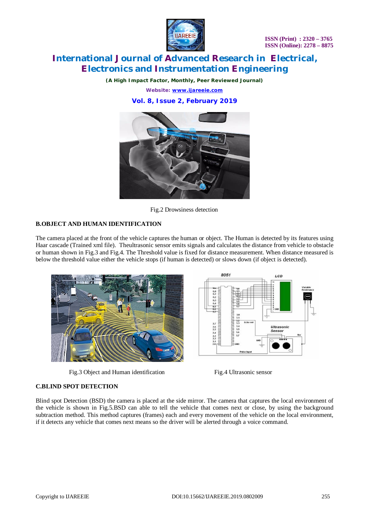

*(A High Impact Factor, Monthly, Peer Reviewed Journal)*

*Website: [www.ijareeie.com](http://www.ijareeie.com)*

**Vol. 8, Issue 2, February 2019**



Fig.2 Drowsiness detection

#### **B.OBJECT AND HUMAN IDENTIFICATION**

The camera placed at the front of the vehicle captures the human or object. The Human is detected by its features using Haar cascade (Trained xml file). Theultrasonic sensor emits signals and calculates the distance from vehicle to obstacle or human shown in Fig.3 and Fig.4. The Threshold value is fixed for distance measurement. When distance measured is below the threshold value either the vehicle stops (if human is detected) or slows down (if object is detected).



Fig.3 Object and Human identification Fig.4 Ultrasonic sensor



#### **C.BLIND SPOT DETECTION**

Blind spot Detection (BSD) the camera is placed at the side mirror. The camera that captures the local environment of the vehicle is shown in Fig.5.BSD can able to tell the vehicle that comes next or close, by using the background subtraction method. This method captures (frames) each and every movement of the vehicle on the local environment, if it detects any vehicle that comes next means so the driver will be alerted through a voice command.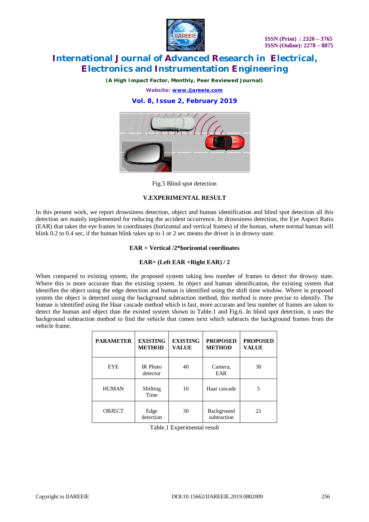

*(A High Impact Factor, Monthly, Peer Reviewed Journal)*

*Website: [www.ijareeie.com](http://www.ijareeie.com)*

#### **Vol. 8, Issue 2, February 2019**



Fig.5 Blind spot detection

#### **V.EXPERIMENTAL RESULT**

In this present work, we report drowsiness detection, object and human identification and blind spot detection all this detection are mainly implemented for reducing the accident occurrence. In drowsiness detection, the Eye Aspect Ratio (EAR) that takes the eye frames in coordinates (horizontal and vertical frames) of the human, where normal human will blink 0.2 to 0.4 sec, if the human blink takes up to 1 or 2 sec means the driver is in drowsy state.

#### **EAR = Vertical /2\*horizontal coordinates**

#### **EAR= (Left EAR +Right EAR) / 2**

When compared to existing system, the proposed system taking less number of frames to detect the drowsy state. Where this is more accurate than the existing system. In object and human identification, the existing system that identifies the object using the edge detection and human is identified using the shift time window. Where in proposed system the object is detected using the background subtraction method, this method is more precise to identify. The human is identified using the Haar cascade method which is fast, more accurate and less number of frames are taken to detect the human and object than the existed system shown in Table.1 and Fig.6. In blind spot detection, it uses the background subtraction method to find the vehicle that comes next which subtracts the background frames from the vehicle frame.

| <b>PARAMETER</b> | <b>EXISTING</b><br><b>METHOD</b> | <b>EXISTING</b><br><b>VALUE</b> | <b>PROPOSED</b><br><b>METHOD</b> | <b>PROPOSED</b><br><b>VALUE</b> |
|------------------|----------------------------------|---------------------------------|----------------------------------|---------------------------------|
| <b>EYE</b>       | <b>IR</b> Photo<br>detector      | 40                              | Camera,<br>EAR                   | 30                              |
| <b>HUMAN</b>     | Shifting<br>Time                 | 10                              | Haar cascade                     | 5                               |
| <b>OBJECT</b>    | Edge<br>detection                | 30                              | Background<br>subtraction        | 21                              |

Table.1 Experimental result